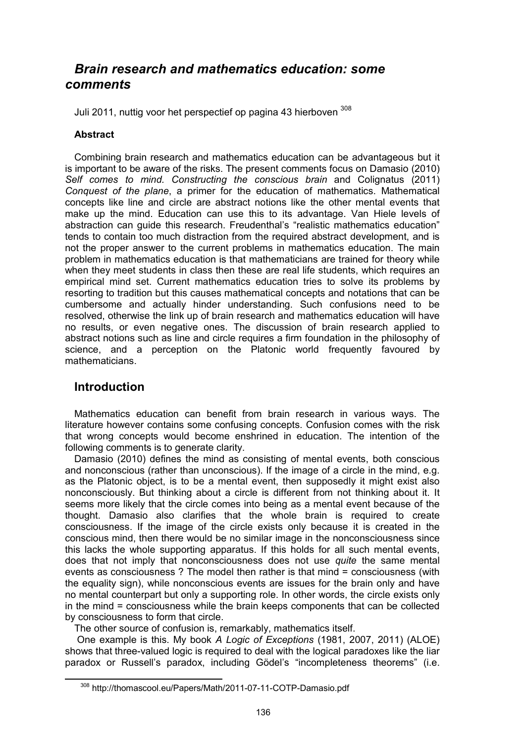# Brain research and mathematics education: some comments

Juli 2011, nuttig voor het perspectief op pagina 43 hierboven 308

#### **Abstract**

Combining brain research and mathematics education can be advantageous but it is important to be aware of the risks. The present comments focus on Damasio (2010) Self comes to mind. Constructing the conscious brain and Colignatus (2011) Conquest of the plane, a primer for the education of mathematics. Mathematical concepts like line and circle are abstract notions like the other mental events that make up the mind. Education can use this to its advantage. Van Hiele levels of abstraction can guide this research. Freudenthal's "realistic mathematics education" tends to contain too much distraction from the required abstract development, and is not the proper answer to the current problems in mathematics education. The main problem in mathematics education is that mathematicians are trained for theory while when they meet students in class then these are real life students, which requires an empirical mind set. Current mathematics education tries to solve its problems by resorting to tradition but this causes mathematical concepts and notations that can be cumbersome and actually hinder understanding. Such confusions need to be resolved, otherwise the link up of brain research and mathematics education will have no results, or even negative ones. The discussion of brain research applied to abstract notions such as line and circle requires a firm foundation in the philosophy of science, and a perception on the Platonic world frequently favoured by mathematicians.

### Introduction

l

Mathematics education can benefit from brain research in various ways. The literature however contains some confusing concepts. Confusion comes with the risk that wrong concepts would become enshrined in education. The intention of the following comments is to generate clarity.

Damasio (2010) defines the mind as consisting of mental events, both conscious and nonconscious (rather than unconscious). If the image of a circle in the mind, e.g. as the Platonic object, is to be a mental event, then supposedly it might exist also nonconsciously. But thinking about a circle is different from not thinking about it. It seems more likely that the circle comes into being as a mental event because of the thought. Damasio also clarifies that the whole brain is required to create consciousness. If the image of the circle exists only because it is created in the conscious mind, then there would be no similar image in the nonconsciousness since this lacks the whole supporting apparatus. If this holds for all such mental events, does that not imply that nonconsciousness does not use quite the same mental events as consciousness ? The model then rather is that mind = consciousness (with the equality sign), while nonconscious events are issues for the brain only and have no mental counterpart but only a supporting role. In other words, the circle exists only in the mind = consciousness while the brain keeps components that can be collected by consciousness to form that circle.

The other source of confusion is, remarkably, mathematics itself.

 One example is this. My book A Logic of Exceptions (1981, 2007, 2011) (ALOE) shows that three-valued logic is required to deal with the logical paradoxes like the liar paradox or Russell's paradox, including Gödel's "incompleteness theorems" (i.e.

<sup>308</sup> http://thomascool.eu/Papers/Math/2011-07-11-COTP-Damasio.pdf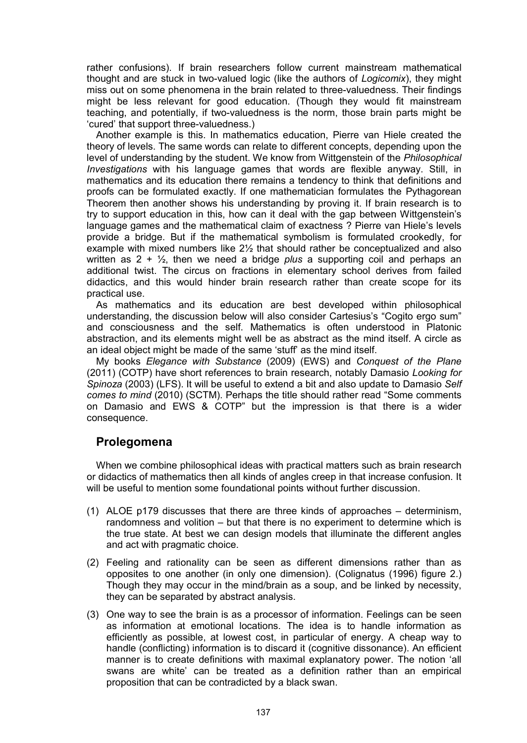rather confusions). If brain researchers follow current mainstream mathematical thought and are stuck in two-valued logic (like the authors of Logicomix), they might miss out on some phenomena in the brain related to three-valuedness. Their findings might be less relevant for good education. (Though they would fit mainstream teaching, and potentially, if two-valuedness is the norm, those brain parts might be 'cured' that support three-valuedness.)

Another example is this. In mathematics education, Pierre van Hiele created the theory of levels. The same words can relate to different concepts, depending upon the level of understanding by the student. We know from Wittgenstein of the Philosophical Investigations with his language games that words are flexible anyway. Still, in mathematics and its education there remains a tendency to think that definitions and proofs can be formulated exactly. If one mathematician formulates the Pythagorean Theorem then another shows his understanding by proving it. If brain research is to try to support education in this, how can it deal with the gap between Wittgenstein's language games and the mathematical claim of exactness ? Pierre van Hiele's levels provide a bridge. But if the mathematical symbolism is formulated crookedly, for example with mixed numbers like 2½ that should rather be conceptualized and also written as  $2 + \frac{1}{2}$ , then we need a bridge plus a supporting coil and perhaps an additional twist. The circus on fractions in elementary school derives from failed didactics, and this would hinder brain research rather than create scope for its practical use.

As mathematics and its education are best developed within philosophical understanding, the discussion below will also consider Cartesius's "Cogito ergo sum" and consciousness and the self. Mathematics is often understood in Platonic abstraction, and its elements might well be as abstract as the mind itself. A circle as an ideal object might be made of the same 'stuff' as the mind itself.

My books Elegance with Substance (2009) (EWS) and Conquest of the Plane (2011) (COTP) have short references to brain research, notably Damasio Looking for Spinoza (2003) (LFS). It will be useful to extend a bit and also update to Damasio Self comes to mind (2010) (SCTM). Perhaps the title should rather read "Some comments on Damasio and EWS & COTP" but the impression is that there is a wider consequence.

## **Prolegomena**

When we combine philosophical ideas with practical matters such as brain research or didactics of mathematics then all kinds of angles creep in that increase confusion. It will be useful to mention some foundational points without further discussion.

- (1) ALOE p179 discusses that there are three kinds of approaches determinism, randomness and volition – but that there is no experiment to determine which is the true state. At best we can design models that illuminate the different angles and act with pragmatic choice.
- (2) Feeling and rationality can be seen as different dimensions rather than as opposites to one another (in only one dimension). (Colignatus (1996) figure 2.) Though they may occur in the mind/brain as a soup, and be linked by necessity, they can be separated by abstract analysis.
- (3) One way to see the brain is as a processor of information. Feelings can be seen as information at emotional locations. The idea is to handle information as efficiently as possible, at lowest cost, in particular of energy. A cheap way to handle (conflicting) information is to discard it (cognitive dissonance). An efficient manner is to create definitions with maximal explanatory power. The notion 'all swans are white' can be treated as a definition rather than an empirical proposition that can be contradicted by a black swan.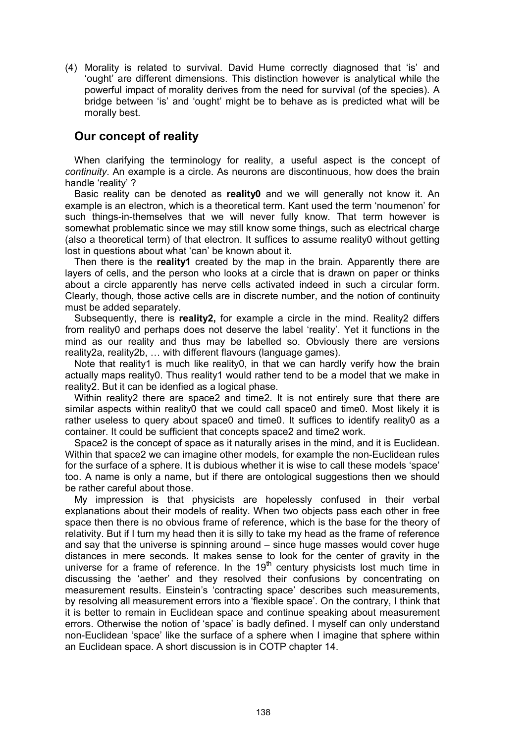(4) Morality is related to survival. David Hume correctly diagnosed that 'is' and 'ought' are different dimensions. This distinction however is analytical while the powerful impact of morality derives from the need for survival (of the species). A bridge between 'is' and 'ought' might be to behave as is predicted what will be morally best.

## Our concept of reality

When clarifying the terminology for reality, a useful aspect is the concept of continuity. An example is a circle. As neurons are discontinuous, how does the brain handle 'reality' ?

Basic reality can be denoted as reality0 and we will generally not know it. An example is an electron, which is a theoretical term. Kant used the term 'noumenon' for such things-in-themselves that we will never fully know. That term however is somewhat problematic since we may still know some things, such as electrical charge (also a theoretical term) of that electron. It suffices to assume reality0 without getting lost in questions about what 'can' be known about it.

Then there is the reality1 created by the map in the brain. Apparently there are layers of cells, and the person who looks at a circle that is drawn on paper or thinks about a circle apparently has nerve cells activated indeed in such a circular form. Clearly, though, those active cells are in discrete number, and the notion of continuity must be added separately.

Subsequently, there is **reality2**, for example a circle in the mind. Reality2 differs from reality0 and perhaps does not deserve the label 'reality'. Yet it functions in the mind as our reality and thus may be labelled so. Obviously there are versions reality2a, reality2b, … with different flavours (language games).

Note that reality1 is much like reality0, in that we can hardly verify how the brain actually maps reality0. Thus reality1 would rather tend to be a model that we make in reality2. But it can be idenfied as a logical phase.

Within reality2 there are space2 and time2. It is not entirely sure that there are similar aspects within reality0 that we could call space0 and time0. Most likely it is rather useless to query about space0 and time0. It suffices to identify reality0 as a container. It could be sufficient that concepts space2 and time2 work.

Space2 is the concept of space as it naturally arises in the mind, and it is Euclidean. Within that space2 we can imagine other models, for example the non-Euclidean rules for the surface of a sphere. It is dubious whether it is wise to call these models 'space' too. A name is only a name, but if there are ontological suggestions then we should be rather careful about those.

My impression is that physicists are hopelessly confused in their verbal explanations about their models of reality. When two objects pass each other in free space then there is no obvious frame of reference, which is the base for the theory of relativity. But if I turn my head then it is silly to take my head as the frame of reference and say that the universe is spinning around – since huge masses would cover huge distances in mere seconds. It makes sense to look for the center of gravity in the universe for a frame of reference. In the  $19<sup>th</sup>$  century physicists lost much time in discussing the 'aether' and they resolved their confusions by concentrating on measurement results. Einstein's 'contracting space' describes such measurements, by resolving all measurement errors into a 'flexible space'. On the contrary, I think that it is better to remain in Euclidean space and continue speaking about measurement errors. Otherwise the notion of 'space' is badly defined. I myself can only understand non-Euclidean 'space' like the surface of a sphere when I imagine that sphere within an Euclidean space. A short discussion is in COTP chapter 14.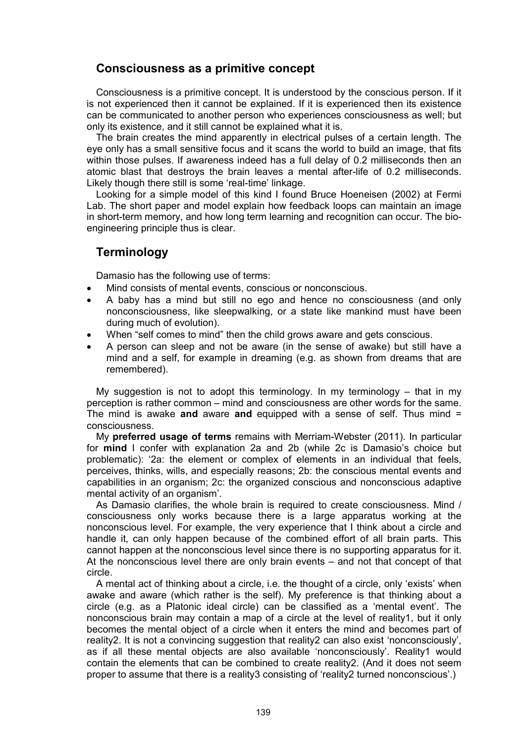## Consciousness as a primitive concept

Consciousness is a primitive concept. It is understood by the conscious person. If it is not experienced then it cannot be explained. If it is experienced then its existence can be communicated to another person who experiences consciousness as well; but only its existence, and it still cannot be explained what it is.

The brain creates the mind apparently in electrical pulses of a certain length. The eye only has a small sensitive focus and it scans the world to build an image, that fits within those pulses. If awareness indeed has a full delay of 0.2 milliseconds then an atomic blast that destroys the brain leaves a mental after-life of 0.2 milliseconds. Likely though there still is some 'real-time' linkage.

Looking for a simple model of this kind I found Bruce Hoeneisen (2002) at Fermi Lab. The short paper and model explain how feedback loops can maintain an image in short-term memory, and how long term learning and recognition can occur. The bioengineering principle thus is clear.

## **Terminology**

Damasio has the following use of terms:

- Mind consists of mental events, conscious or nonconscious.
- A baby has a mind but still no ego and hence no consciousness (and only nonconsciousness, like sleepwalking, or a state like mankind must have been during much of evolution).
- When "self comes to mind" then the child grows aware and gets conscious.
- A person can sleep and not be aware (in the sense of awake) but still have a mind and a self, for example in dreaming (e.g. as shown from dreams that are remembered).

My suggestion is not to adopt this terminology. In my terminology  $-$  that in my perception is rather common – mind and consciousness are other words for the same. The mind is awake and aware and equipped with a sense of self. Thus mind  $=$ consciousness.

My preferred usage of terms remains with Merriam-Webster (2011). In particular for mind I confer with explanation 2a and 2b (while 2c is Damasio's choice but problematic): '2a: the element or complex of elements in an individual that feels, perceives, thinks, wills, and especially reasons; 2b: the conscious mental events and capabilities in an organism; 2c: the organized conscious and nonconscious adaptive mental activity of an organism'.

As Damasio clarifies, the whole brain is required to create consciousness. Mind / consciousness only works because there is a large apparatus working at the nonconscious level. For example, the very experience that I think about a circle and handle it, can only happen because of the combined effort of all brain parts. This cannot happen at the nonconscious level since there is no supporting apparatus for it. At the nonconscious level there are only brain events – and not that concept of that circle.

A mental act of thinking about a circle, i.e. the thought of a circle, only 'exists' when awake and aware (which rather is the self). My preference is that thinking about a circle (e.g. as a Platonic ideal circle) can be classified as a 'mental event'. The nonconscious brain may contain a map of a circle at the level of reality1, but it only becomes the mental object of a circle when it enters the mind and becomes part of reality2. It is not a convincing suggestion that reality2 can also exist 'nonconsciously', as if all these mental objects are also available 'nonconsciously'. Reality1 would contain the elements that can be combined to create reality2. (And it does not seem proper to assume that there is a reality3 consisting of 'reality2 turned nonconscious'.)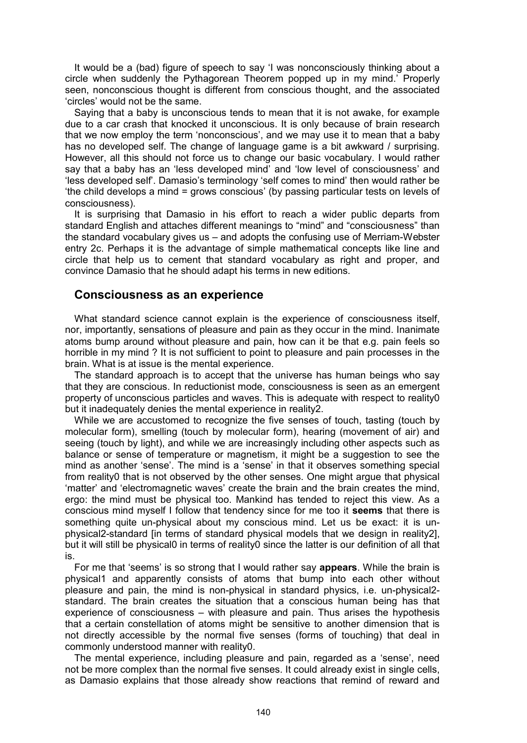It would be a (bad) figure of speech to say 'I was nonconsciously thinking about a circle when suddenly the Pythagorean Theorem popped up in my mind.' Properly seen, nonconscious thought is different from conscious thought, and the associated 'circles' would not be the same.

Saying that a baby is unconscious tends to mean that it is not awake, for example due to a car crash that knocked it unconscious. It is only because of brain research that we now employ the term 'nonconscious', and we may use it to mean that a baby has no developed self. The change of language game is a bit awkward / surprising. However, all this should not force us to change our basic vocabulary. I would rather say that a baby has an 'less developed mind' and 'low level of consciousness' and 'less developed self'. Damasio's terminology 'self comes to mind' then would rather be 'the child develops a mind = grows conscious' (by passing particular tests on levels of consciousness).

It is surprising that Damasio in his effort to reach a wider public departs from standard English and attaches different meanings to "mind" and "consciousness" than the standard vocabulary gives us – and adopts the confusing use of Merriam-Webster entry 2c. Perhaps it is the advantage of simple mathematical concepts like line and circle that help us to cement that standard vocabulary as right and proper, and convince Damasio that he should adapt his terms in new editions.

#### Consciousness as an experience

What standard science cannot explain is the experience of consciousness itself, nor, importantly, sensations of pleasure and pain as they occur in the mind. Inanimate atoms bump around without pleasure and pain, how can it be that e.g. pain feels so horrible in my mind ? It is not sufficient to point to pleasure and pain processes in the brain. What is at issue is the mental experience.

The standard approach is to accept that the universe has human beings who say that they are conscious. In reductionist mode, consciousness is seen as an emergent property of unconscious particles and waves. This is adequate with respect to reality0 but it inadequately denies the mental experience in reality2.

While we are accustomed to recognize the five senses of touch, tasting (touch by molecular form), smelling (touch by molecular form), hearing (movement of air) and seeing (touch by light), and while we are increasingly including other aspects such as balance or sense of temperature or magnetism, it might be a suggestion to see the mind as another 'sense'. The mind is a 'sense' in that it observes something special from reality0 that is not observed by the other senses. One might argue that physical 'matter' and 'electromagnetic waves' create the brain and the brain creates the mind, ergo: the mind must be physical too. Mankind has tended to reject this view. As a conscious mind myself I follow that tendency since for me too it seems that there is something quite un-physical about my conscious mind. Let us be exact: it is unphysical2-standard [in terms of standard physical models that we design in reality2], but it will still be physical0 in terms of reality0 since the latter is our definition of all that is.

For me that 'seems' is so strong that I would rather say appears. While the brain is physical1 and apparently consists of atoms that bump into each other without pleasure and pain, the mind is non-physical in standard physics, i.e. un-physical2 standard. The brain creates the situation that a conscious human being has that experience of consciousness – with pleasure and pain. Thus arises the hypothesis that a certain constellation of atoms might be sensitive to another dimension that is not directly accessible by the normal five senses (forms of touching) that deal in commonly understood manner with reality0.

The mental experience, including pleasure and pain, regarded as a 'sense', need not be more complex than the normal five senses. It could already exist in single cells, as Damasio explains that those already show reactions that remind of reward and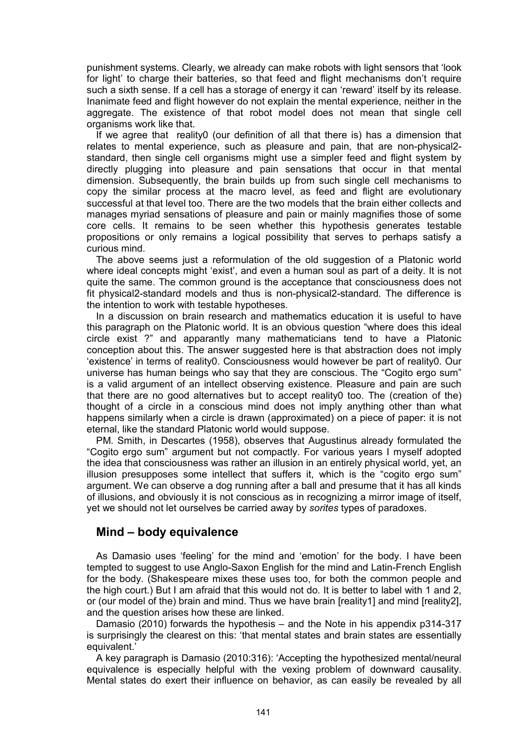punishment systems. Clearly, we already can make robots with light sensors that 'look for light' to charge their batteries, so that feed and flight mechanisms don't require such a sixth sense. If a cell has a storage of energy it can 'reward' itself by its release. Inanimate feed and flight however do not explain the mental experience, neither in the aggregate. The existence of that robot model does not mean that single cell organisms work like that.

If we agree that reality0 (our definition of all that there is) has a dimension that relates to mental experience, such as pleasure and pain, that are non-physical2 standard, then single cell organisms might use a simpler feed and flight system by directly plugging into pleasure and pain sensations that occur in that mental dimension. Subsequently, the brain builds up from such single cell mechanisms to copy the similar process at the macro level, as feed and flight are evolutionary successful at that level too. There are the two models that the brain either collects and manages myriad sensations of pleasure and pain or mainly magnifies those of some core cells. It remains to be seen whether this hypothesis generates testable propositions or only remains a logical possibility that serves to perhaps satisfy a curious mind.

The above seems just a reformulation of the old suggestion of a Platonic world where ideal concepts might 'exist', and even a human soul as part of a deity. It is not quite the same. The common ground is the acceptance that consciousness does not fit physical2-standard models and thus is non-physical2-standard. The difference is the intention to work with testable hypotheses.

In a discussion on brain research and mathematics education it is useful to have this paragraph on the Platonic world. It is an obvious question "where does this ideal circle exist ?" and apparantly many mathematicians tend to have a Platonic conception about this. The answer suggested here is that abstraction does not imply 'existence' in terms of reality0. Consciousness would however be part of reality0. Our universe has human beings who say that they are conscious. The "Cogito ergo sum" is a valid argument of an intellect observing existence. Pleasure and pain are such that there are no good alternatives but to accept reality0 too. The (creation of the) thought of a circle in a conscious mind does not imply anything other than what happens similarly when a circle is drawn (approximated) on a piece of paper: it is not eternal, like the standard Platonic world would suppose.

PM. Smith, in Descartes (1958), observes that Augustinus already formulated the "Cogito ergo sum" argument but not compactly. For various years I myself adopted the idea that consciousness was rather an illusion in an entirely physical world, yet, an illusion presupposes some intellect that suffers it, which is the "cogito ergo sum" argument. We can observe a dog running after a ball and presume that it has all kinds of illusions, and obviously it is not conscious as in recognizing a mirror image of itself, yet we should not let ourselves be carried away by sorites types of paradoxes.

### Mind – body equivalence

As Damasio uses 'feeling' for the mind and 'emotion' for the body. I have been tempted to suggest to use Anglo-Saxon English for the mind and Latin-French English for the body. (Shakespeare mixes these uses too, for both the common people and the high court.) But I am afraid that this would not do. It is better to label with 1 and 2, or (our model of the) brain and mind. Thus we have brain [reality1] and mind [reality2], and the question arises how these are linked.

Damasio (2010) forwards the hypothesis – and the Note in his appendix p314-317 is surprisingly the clearest on this: 'that mental states and brain states are essentially equivalent.'

A key paragraph is Damasio (2010:316): 'Accepting the hypothesized mental/neural equivalence is especially helpful with the vexing problem of downward causality. Mental states do exert their influence on behavior, as can easily be revealed by all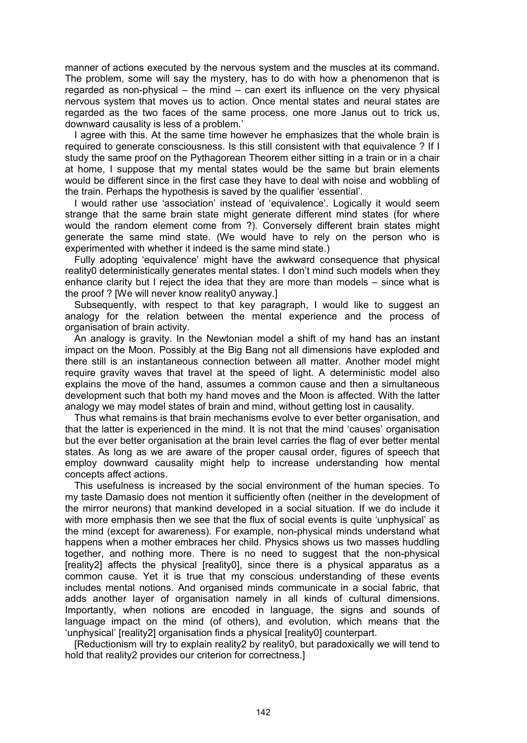manner of actions executed by the nervous system and the muscles at its command. The problem, some will say the mystery, has to do with how a phenomenon that is regarded as non-physical – the mind – can exert its influence on the very physical nervous system that moves us to action. Once mental states and neural states are regarded as the two faces of the same process, one more Janus out to trick us, downward causality is less of a problem.'

I agree with this. At the same time however he emphasizes that the whole brain is required to generate consciousness. Is this still consistent with that equivalence ? If I study the same proof on the Pythagorean Theorem either sitting in a train or in a chair at home, I suppose that my mental states would be the same but brain elements would be different since in the first case they have to deal with noise and wobbling of the train. Perhaps the hypothesis is saved by the qualifier 'essential'.

I would rather use 'association' instead of 'equivalence'. Logically it would seem strange that the same brain state might generate different mind states (for where would the random element come from ?). Conversely different brain states might generate the same mind state. (We would have to rely on the person who is experimented with whether it indeed is the same mind state.)

Fully adopting 'equivalence' might have the awkward consequence that physical reality0 deterministically generates mental states. I don't mind such models when they enhance clarity but I reject the idea that they are more than models – since what is the proof ? [We will never know reality0 anyway.]

Subsequently, with respect to that key paragraph, I would like to suggest an analogy for the relation between the mental experience and the process of organisation of brain activity.

An analogy is gravity. In the Newtonian model a shift of my hand has an instant impact on the Moon. Possibly at the Big Bang not all dimensions have exploded and there still is an instantaneous connection between all matter. Another model might require gravity waves that travel at the speed of light. A deterministic model also explains the move of the hand, assumes a common cause and then a simultaneous development such that both my hand moves and the Moon is affected. With the latter analogy we may model states of brain and mind, without getting lost in causality.

Thus what remains is that brain mechanisms evolve to ever better organisation, and that the latter is experienced in the mind. It is not that the mind 'causes' organisation but the ever better organisation at the brain level carries the flag of ever better mental states. As long as we are aware of the proper causal order, figures of speech that employ downward causality might help to increase understanding how mental concepts affect actions.

This usefulness is increased by the social environment of the human species. To my taste Damasio does not mention it sufficiently often (neither in the development of the mirror neurons) that mankind developed in a social situation. If we do include it with more emphasis then we see that the flux of social events is quite 'unphysical' as the mind (except for awareness). For example, non-physical minds understand what happens when a mother embraces her child. Physics shows us two masses huddling together, and nothing more. There is no need to suggest that the non-physical [reality2] affects the physical [reality0], since there is a physical apparatus as a common cause. Yet it is true that my conscious understanding of these events includes mental notions. And organised minds communicate in a social fabric, that adds another layer of organisation namely in all kinds of cultural dimensions. Importantly, when notions are encoded in language, the signs and sounds of language impact on the mind (of others), and evolution, which means that the 'unphysical' [reality2] organisation finds a physical [reality0] counterpart.

[Reductionism will try to explain reality2 by reality0, but paradoxically we will tend to hold that reality2 provides our criterion for correctness.]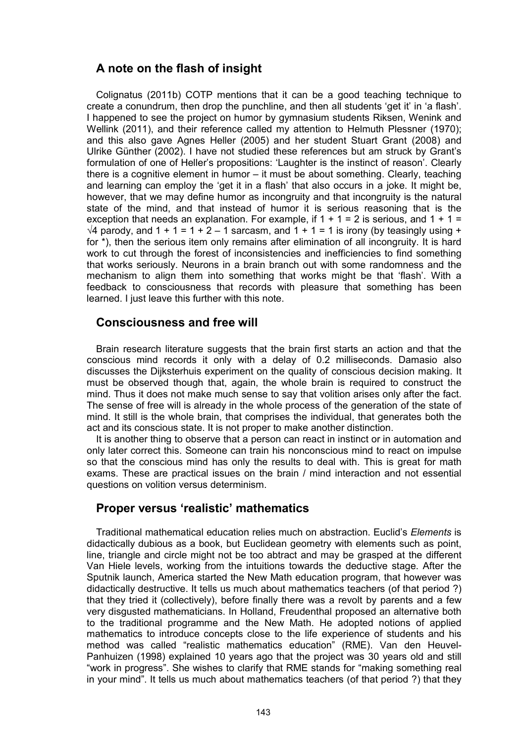## A note on the flash of insight

Colignatus (2011b) COTP mentions that it can be a good teaching technique to create a conundrum, then drop the punchline, and then all students 'get it' in 'a flash'. I happened to see the project on humor by gymnasium students Riksen, Wenink and Wellink (2011), and their reference called my attention to Helmuth Plessner (1970); and this also gave Agnes Heller (2005) and her student Stuart Grant (2008) and Ulrike Günther (2002). I have not studied these references but am struck by Grant's formulation of one of Heller's propositions: 'Laughter is the instinct of reason'. Clearly there is a cognitive element in humor – it must be about something. Clearly, teaching and learning can employ the 'get it in a flash' that also occurs in a joke. It might be, however, that we may define humor as incongruity and that incongruity is the natural state of the mind, and that instead of humor it is serious reasoning that is the exception that needs an explanation. For example, if  $1 + 1 = 2$  is serious, and  $1 + 1 = 2$  $\sqrt{4}$  parody, and 1 + 1 = 1 + 2 – 1 sarcasm, and 1 + 1 = 1 is irony (by teasingly using + for \*), then the serious item only remains after elimination of all incongruity. It is hard work to cut through the forest of inconsistencies and inefficiencies to find something that works seriously. Neurons in a brain branch out with some randomness and the mechanism to align them into something that works might be that 'flash'. With a feedback to consciousness that records with pleasure that something has been learned. I just leave this further with this note.

## Consciousness and free will

Brain research literature suggests that the brain first starts an action and that the conscious mind records it only with a delay of 0.2 milliseconds. Damasio also discusses the Dijksterhuis experiment on the quality of conscious decision making. It must be observed though that, again, the whole brain is required to construct the mind. Thus it does not make much sense to say that volition arises only after the fact. The sense of free will is already in the whole process of the generation of the state of mind. It still is the whole brain, that comprises the individual, that generates both the act and its conscious state. It is not proper to make another distinction.

It is another thing to observe that a person can react in instinct or in automation and only later correct this. Someone can train his nonconscious mind to react on impulse so that the conscious mind has only the results to deal with. This is great for math exams. These are practical issues on the brain / mind interaction and not essential questions on volition versus determinism.

### Proper versus 'realistic' mathematics

Traditional mathematical education relies much on abstraction. Euclid's Elements is didactically dubious as a book, but Euclidean geometry with elements such as point, line, triangle and circle might not be too abtract and may be grasped at the different Van Hiele levels, working from the intuitions towards the deductive stage. After the Sputnik launch, America started the New Math education program, that however was didactically destructive. It tells us much about mathematics teachers (of that period ?) that they tried it (collectively), before finally there was a revolt by parents and a few very disgusted mathematicians. In Holland, Freudenthal proposed an alternative both to the traditional programme and the New Math. He adopted notions of applied mathematics to introduce concepts close to the life experience of students and his method was called "realistic mathematics education" (RME). Van den Heuvel-Panhuizen (1998) explained 10 years ago that the project was 30 years old and still "work in progress". She wishes to clarify that RME stands for "making something real in your mind". It tells us much about mathematics teachers (of that period ?) that they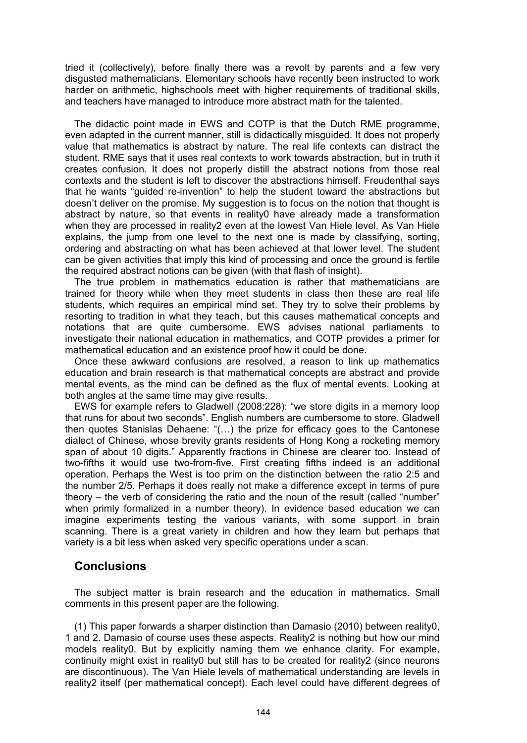tried it (collectively), before finally there was a revolt by parents and a few very disgusted mathematicians. Elementary schools have recently been instructed to work harder on arithmetic, highschools meet with higher requirements of traditional skills, and teachers have managed to introduce more abstract math for the talented.

The didactic point made in EWS and COTP is that the Dutch RME programme, even adapted in the current manner, still is didactically misguided. It does not properly value that mathematics is abstract by nature. The real life contexts can distract the student. RME says that it uses real contexts to work towards abstraction, but in truth it creates confusion. It does not properly distill the abstract notions from those real contexts and the student is left to discover the abstractions himself. Freudenthal says that he wants "guided re-invention" to help the student toward the abstractions but doesn't deliver on the promise. My suggestion is to focus on the notion that thought is abstract by nature, so that events in reality0 have already made a transformation when they are processed in reality2 even at the lowest Van Hiele level. As Van Hiele explains, the jump from one level to the next one is made by classifying, sorting, ordering and abstracting on what has been achieved at that lower level. The student can be given activities that imply this kind of processing and once the ground is fertile the required abstract notions can be given (with that flash of insight).

The true problem in mathematics education is rather that mathematicians are trained for theory while when they meet students in class then these are real life students, which requires an empirical mind set. They try to solve their problems by resorting to tradition in what they teach, but this causes mathematical concepts and notations that are quite cumbersome. EWS advises national parliaments to investigate their national education in mathematics, and COTP provides a primer for mathematical education and an existence proof how it could be done.

Once these awkward confusions are resolved, a reason to link up mathematics education and brain research is that mathematical concepts are abstract and provide mental events, as the mind can be defined as the flux of mental events. Looking at both angles at the same time may give results.

EWS for example refers to Gladwell (2008:228): "we store digits in a memory loop that runs for about two seconds". English numbers are cumbersome to store. Gladwell then quotes Stanislas Dehaene: "(…) the prize for efficacy goes to the Cantonese dialect of Chinese, whose brevity grants residents of Hong Kong a rocketing memory span of about 10 digits." Apparently fractions in Chinese are clearer too. Instead of two-fifths it would use two-from-five. First creating fifths indeed is an additional operation. Perhaps the West is too prim on the distinction between the ratio 2:5 and the number 2/5. Perhaps it does really not make a difference except in terms of pure theory – the verb of considering the ratio and the noun of the result (called "number" when primly formalized in a number theory). In evidence based education we can imagine experiments testing the various variants, with some support in brain scanning. There is a great variety in children and how they learn but perhaps that variety is a bit less when asked very specific operations under a scan.

### **Conclusions**

The subject matter is brain research and the education in mathematics. Small comments in this present paper are the following.

(1) This paper forwards a sharper distinction than Damasio (2010) between reality0, 1 and 2. Damasio of course uses these aspects. Reality2 is nothing but how our mind models reality0. But by explicitly naming them we enhance clarity. For example, continuity might exist in reality0 but still has to be created for reality2 (since neurons are discontinuous). The Van Hiele levels of mathematical understanding are levels in reality2 itself (per mathematical concept). Each level could have different degrees of